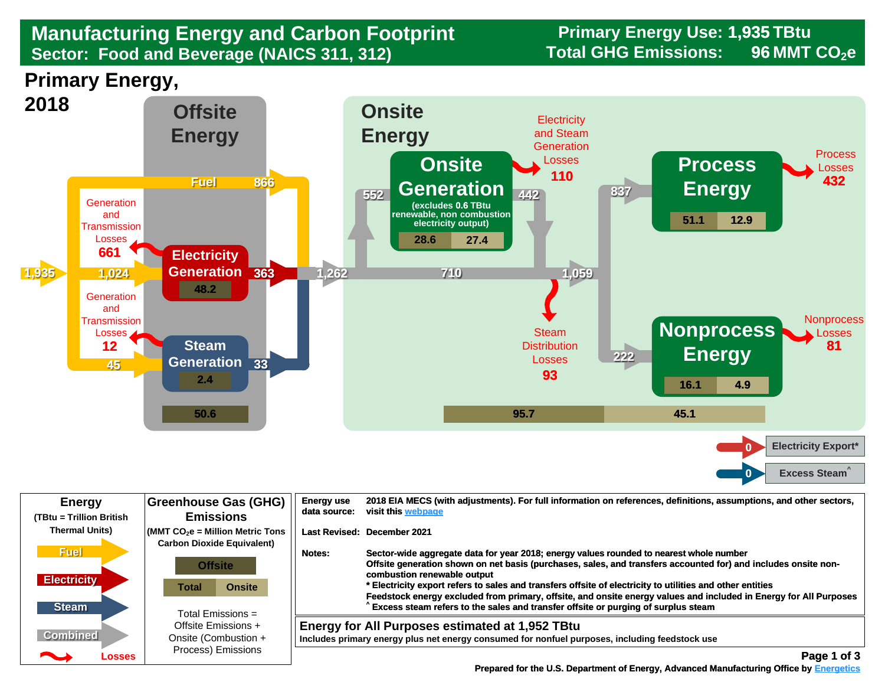## **Manufacturing Energy and Carbon Footprint Sector: Food and Beverage (NAICS 311, 312)**

**Primary Energy Use: 1,935 TBtu**  Total GHG Emissions: 96 MMT CO<sub>2</sub>e

**Primary Energy,** 



| <b>Energy</b>                        | Greenhouse Gas (GHG)                                                                                                                                                      | <b>Energy use</b> | 2018 EIA MECS (with adjustments). For full information on references, definitions, assumptions, and other sectors,                                                                                                                                                                                                                                                                                                                                                                                                                                                                             |
|--------------------------------------|---------------------------------------------------------------------------------------------------------------------------------------------------------------------------|-------------------|------------------------------------------------------------------------------------------------------------------------------------------------------------------------------------------------------------------------------------------------------------------------------------------------------------------------------------------------------------------------------------------------------------------------------------------------------------------------------------------------------------------------------------------------------------------------------------------------|
| (TBtu = Trillion British             | <b>Emissions</b>                                                                                                                                                          | data source:      | visit this webpage                                                                                                                                                                                                                                                                                                                                                                                                                                                                                                                                                                             |
| <b>Thermal Units)</b><br><b>Fuel</b> | $\sqrt{\frac{1}{100}}$ (MMT CO <sub>2</sub> e = Million Metric Tons<br><b>Carbon Dioxide Equivalent)</b><br><b>Offsite</b><br><b>Onsite</b><br>Total<br>Total Emissions = | Notes:            | Last Revised: December 2021<br>Sector-wide aggregate data for year 2018; energy values rounded to nearest whole number<br>Offsite generation shown on net basis (purchases, sales, and transfers accounted for) and includes onsite non-<br>combustion renewable output<br>* Electricity export refers to sales and transfers offsite of electricity to utilities and other entities<br>Feedstock energy excluded from primary, offsite, and onsite energy values and included in Energy for All Purposes<br>Excess steam refers to the sales and transfer offsite or purging of surplus steam |
| <b>Electricity</b><br><b>Steam</b>   |                                                                                                                                                                           |                   |                                                                                                                                                                                                                                                                                                                                                                                                                                                                                                                                                                                                |
| <b>Combined</b>                      | Offsite Emissions +                                                                                                                                                       |                   | Energy for All Purposes estimated at 1,952 TBtu                                                                                                                                                                                                                                                                                                                                                                                                                                                                                                                                                |
| <b>Participate</b>                   | Onsite (Combustion +                                                                                                                                                      |                   | Includes primary energy plus net energy consumed for nonfuel purposes, including feedstock use                                                                                                                                                                                                                                                                                                                                                                                                                                                                                                 |
| Losses                               | Process) Emissions                                                                                                                                                        |                   | Page 1 of 3                                                                                                                                                                                                                                                                                                                                                                                                                                                                                                                                                                                    |

 **[Prepared for the U.S. Department of Energy, Advanced Manufacturing Office by Energetics](https://www.energetics.com/) Manufacturing Energetics**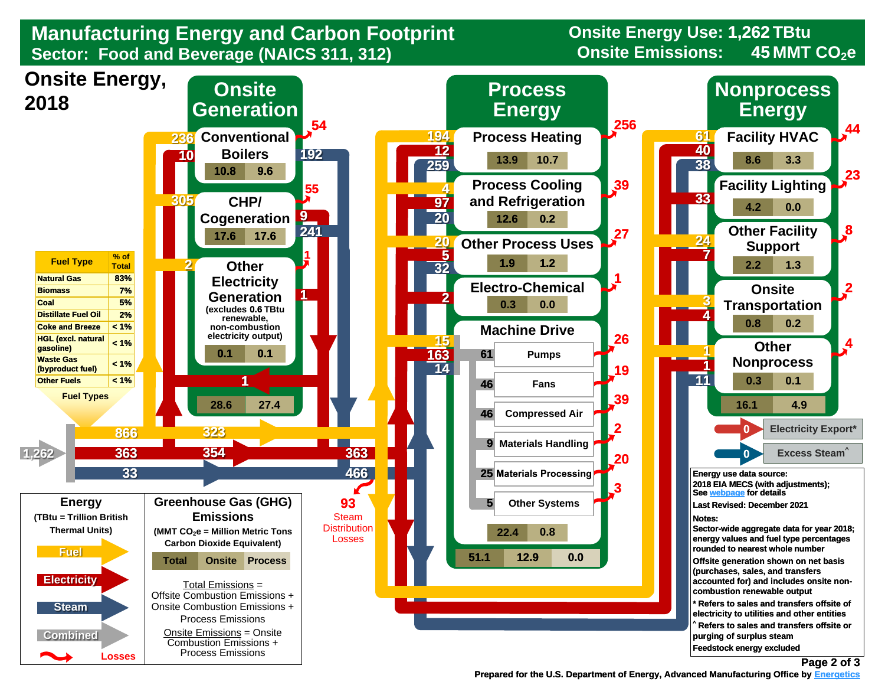**Manufacturing Energy and Carbon Footprint Cancel Consite Energy Use: 1,<br>Sector: Food and Beverage (NAICS 311, 312) Sector: Food and Beverage (NAICS 311, 312)** 

**Onsite Energy Use: 1,262 TBtu 45**



 **[Prepared for the U.S. Department of Energy, Advanced Manufacturing Office by Energetics](https://www.energetics.com/) Energetics**